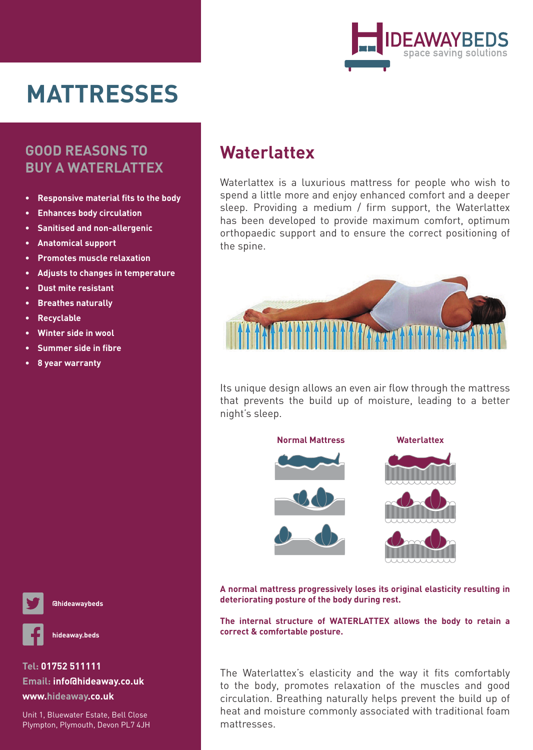

# **MATTRESSES**

#### **GOOD REASONS TO BUY A WATERLATTEX**

- **Responsive material fits to the body •**
- **Enhances body circulation •**
- **Sanitised and non-allergenic •**
- **Anatomical support •**
- **Promotes muscle relaxation •**
- **Adjusts to changes in temperature •**
- **Dust mite resistant •**
- **Breathes naturally •**
- **Recyclable •**
- **Winter side in wool •**
- **Summer side in fibre •**
- **8 year warranty •**





**hideaway.beds**

#### **Tel: 01752 511111 Email: info@hideaway.co.uk www.hideaway.co.uk**

Unit 1, Bluewater Estate, Bell Close Plympton, Plymouth, Devon PL7 4JH

## **Waterlattex**

Waterlattex is a luxurious mattress for people who wish to spend a little more and enjoy enhanced comfort and a deeper sleep. Providing a medium / firm support, the Waterlattex has been developed to provide maximum comfort, optimum orthopaedic support and to ensure the correct positioning of the spine.



Its unique design allows an even air flow through the mattress that prevents the build up of moisture, leading to a better night's sleep.



**A normal mattress progressively loses its original elasticity resulting in deteriorating posture of the body during rest.** 

**The internal structure of WATERLATTEX allows the body to retain a correct & comfortable posture.** 

The Waterlattex's elasticity and the way it fits comfortably to the body, promotes relaxation of the muscles and good circulation. Breathing naturally helps prevent the build up of heat and moisture commonly associated with traditional foam mattresses.